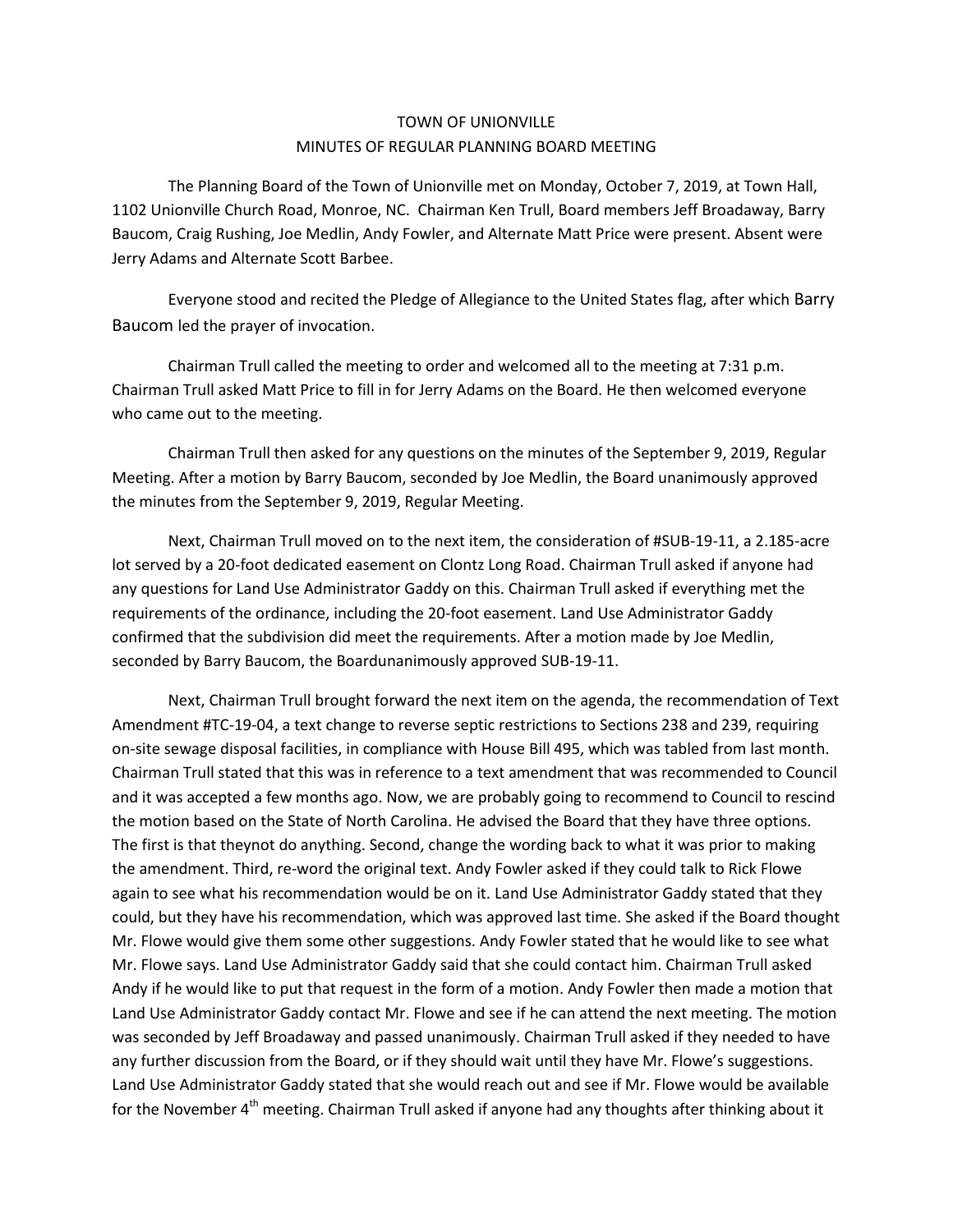## TOWN OF UNIONVILLE MINUTES OF REGULAR PLANNING BOARD MEETING

The Planning Board of the Town of Unionville met on Monday, October 7, 2019, at Town Hall, 1102 Unionville Church Road, Monroe, NC. Chairman Ken Trull, Board members Jeff Broadaway, Barry Baucom, Craig Rushing, Joe Medlin, Andy Fowler, and Alternate Matt Price were present. Absent were Jerry Adams and Alternate Scott Barbee.

Everyone stood and recited the Pledge of Allegiance to the United States flag, after which Barry Baucom led the prayer of invocation.

Chairman Trull called the meeting to order and welcomed all to the meeting at 7:31 p.m. Chairman Trull asked Matt Price to fill in for Jerry Adams on the Board. He then welcomed everyone who came out to the meeting.

Chairman Trull then asked for any questions on the minutes of the September 9, 2019, Regular Meeting. After a motion by Barry Baucom, seconded by Joe Medlin, the Board unanimously approved the minutes from the September 9, 2019, Regular Meeting.

Next, Chairman Trull moved on to the next item, the consideration of #SUB-19-11, a 2.185-acre lot served by a 20-foot dedicated easement on Clontz Long Road. Chairman Trull asked if anyone had any questions for Land Use Administrator Gaddy on this. Chairman Trull asked if everything met the requirements of the ordinance, including the 20-foot easement. Land Use Administrator Gaddy confirmed that the subdivision did meet the requirements. After a motion made by Joe Medlin, seconded by Barry Baucom, the Boardunanimously approved SUB-19-11.

Next, Chairman Trull brought forward the next item on the agenda, the recommendation of Text Amendment #TC-19-04, a text change to reverse septic restrictions to Sections 238 and 239, requiring on-site sewage disposal facilities, in compliance with House Bill 495, which was tabled from last month. Chairman Trull stated that this was in reference to a text amendment that was recommended to Council and it was accepted a few months ago. Now, we are probably going to recommend to Council to rescind the motion based on the State of North Carolina. He advised the Board that they have three options. The first is that theynot do anything. Second, change the wording back to what it was prior to making the amendment. Third, re-word the original text. Andy Fowler asked if they could talk to Rick Flowe again to see what his recommendation would be on it. Land Use Administrator Gaddy stated that they could, but they have his recommendation, which was approved last time. She asked if the Board thought Mr. Flowe would give them some other suggestions. Andy Fowler stated that he would like to see what Mr. Flowe says. Land Use Administrator Gaddy said that she could contact him. Chairman Trull asked Andy if he would like to put that request in the form of a motion. Andy Fowler then made a motion that Land Use Administrator Gaddy contact Mr. Flowe and see if he can attend the next meeting. The motion was seconded by Jeff Broadaway and passed unanimously. Chairman Trull asked if they needed to have any further discussion from the Board, or if they should wait until they have Mr. Flowe's suggestions. Land Use Administrator Gaddy stated that she would reach out and see if Mr. Flowe would be available for the November  $4<sup>th</sup>$  meeting. Chairman Trull asked if anyone had any thoughts after thinking about it